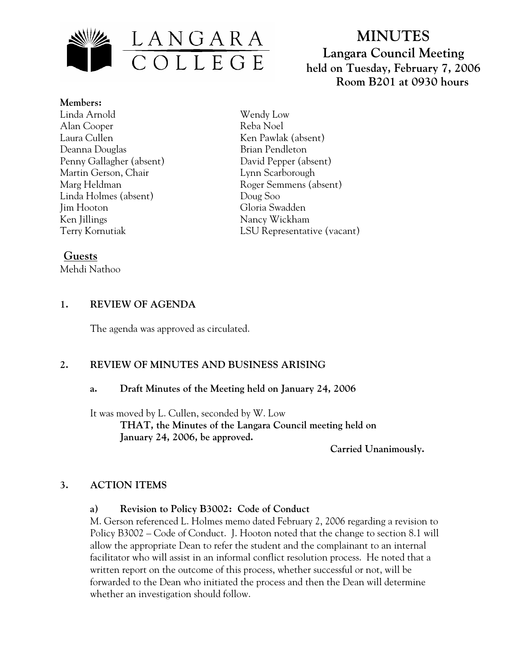

# **MINUTES Langara Council Meeting held on Tuesday, February 7, 2006 Room B201 at 0930 hours**

**Members:** Linda Arnold Alan Cooper Laura Cullen Deanna Douglas Penny Gallagher (absent) Martin Gerson, Chair Marg Heldman Linda Holmes (absent) Jim Hooton Ken Jillings Terry Kornutiak

Wendy Low Reba Noel Ken Pawlak (absent) Brian Pendleton David Pepper (absent) Lynn Scarborough Roger Semmens (absent) Doug Soo Gloria Swadden Nancy Wickham LSU Representative (vacant)

# **Guests**

Mehdi Nathoo

# **1. REVIEW OF AGENDA**

The agenda was approved as circulated.

## **2. REVIEW OF MINUTES AND BUSINESS ARISING**

## **a. Draft Minutes of the Meeting held on January 24, 2006**

It was moved by L. Cullen, seconded by W. Low  **THAT, the Minutes of the Langara Council meeting held on January 24, 2006, be approved.** 

 **Carried Unanimously.** 

## **3. ACTION ITEMS**

## **a) Revision to Policy B3002: Code of Conduct**

M. Gerson referenced L. Holmes memo dated February 2, 2006 regarding a revision to Policy B3002 – Code of Conduct. J. Hooton noted that the change to section 8.1 will allow the appropriate Dean to refer the student and the complainant to an internal facilitator who will assist in an informal conflict resolution process. He noted that a written report on the outcome of this process, whether successful or not, will be forwarded to the Dean who initiated the process and then the Dean will determine whether an investigation should follow.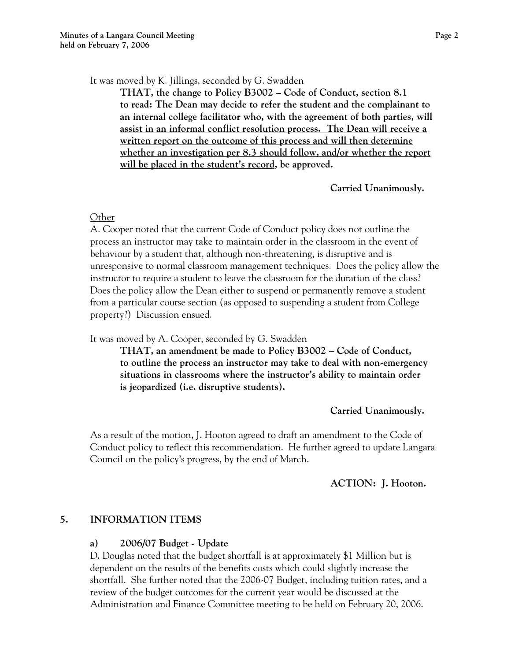It was moved by K. Jillings, seconded by G. Swadden

**THAT, the change to Policy B3002 – Code of Conduct, section 8.1 to read: The Dean may decide to refer the student and the complainant to an internal college facilitator who, with the agreement of both parties, will assist in an informal conflict resolution process. The Dean will receive a written report on the outcome of this process and will then determine whether an investigation per 8.3 should follow, and/or whether the report will be placed in the student's record, be approved.** 

 **Carried Unanimously.** 

#### **Other**

A. Cooper noted that the current Code of Conduct policy does not outline the process an instructor may take to maintain order in the classroom in the event of behaviour by a student that, although non-threatening, is disruptive and is unresponsive to normal classroom management techniques. Does the policy allow the instructor to require a student to leave the classroom for the duration of the class? Does the policy allow the Dean either to suspend or permanently remove a student from a particular course section (as opposed to suspending a student from College property?) Discussion ensued.

It was moved by A. Cooper, seconded by G. Swadden

**THAT, an amendment be made to Policy B3002 – Code of Conduct, to outline the process an instructor may take to deal with non-emergency situations in classrooms where the instructor's ability to maintain order is jeopardized (i.e. disruptive students).** 

 **Carried Unanimously.** 

As a result of the motion, J. Hooton agreed to draft an amendment to the Code of Conduct policy to reflect this recommendation. He further agreed to update Langara Council on the policy's progress, by the end of March.

## **ACTION: J. Hooton.**

#### **5. INFORMATION ITEMS**

#### **a) 2006/07 Budget - Update**

D. Douglas noted that the budget shortfall is at approximately \$1 Million but is dependent on the results of the benefits costs which could slightly increase the shortfall. She further noted that the 2006-07 Budget, including tuition rates, and a review of the budget outcomes for the current year would be discussed at the Administration and Finance Committee meeting to be held on February 20, 2006.